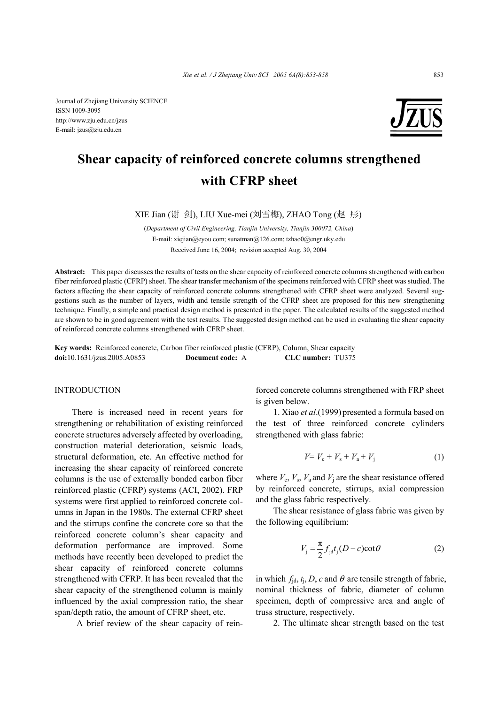Journal of Zhejiang University SCIENCE ISSN 1009-3095 http://www.zju.edu.cn/jzus E-mail: jzus@zju.edu.cn



# **Shear capacity of reinforced concrete columns strengthened with CFRP sheet**

XIE Jian (谢 剑), LIU Xue-mei (刘雪梅), ZHAO Tong (赵 彤)

(*Department of Civil Engineering, Tianjin University, Tianjin 300072, China*) E-mail: xiejian@eyou.com; sunatman@126.com; tzhao0@engr.uky.edu Received June 16, 2004; revision accepted Aug. 30, 2004

**Abstract:** This paper discusses the results of tests on the shear capacity of reinforced concrete columns strengthened with carbon fiber reinforced plastic (CFRP) sheet. The shear transfer mechanism of the specimens reinforced with CFRP sheet was studied. The factors affecting the shear capacity of reinforced concrete columns strengthened with CFRP sheet were analyzed. Several suggestions such as the number of layers, width and tensile strength of the CFRP sheet are proposed for this new strengthening technique. Finally, a simple and practical design method is presented in the paper. The calculated results of the suggested method are shown to be in good agreement with the test results. The suggested design method can be used in evaluating the shear capacity of reinforced concrete columns strengthened with CFRP sheet.

**Key words:** Reinforced concrete, Carbon fiber reinforced plastic (CFRP), Column, Shear capacity **doi:**10.1631/jzus.2005.A0853 **Document code:** A **CLC number:** TU375

## INTRODUCTION

There is increased need in recent years for strengthening or rehabilitation of existing reinforced concrete structures adversely affected by overloading, construction material deterioration, seismic loads, structural deformation, etc. An effective method for increasing the shear capacity of reinforced concrete columns is the use of externally bonded carbon fiber reinforced plastic (CFRP) systems (ACI, 2002). FRP systems were first applied to reinforced concrete columns in Japan in the 1980s. The external CFRP sheet and the stirrups confine the concrete core so that the reinforced concrete column's shear capacity and deformation performance are improved. Some methods have recently been developed to predict the shear capacity of reinforced concrete columns strengthened with CFRP. It has been revealed that the shear capacity of the strengthened column is mainly influenced by the axial compression ratio, the shear span/depth ratio, the amount of CFRP sheet, etc.

A brief review of the shear capacity of rein-

forced concrete columns strengthened with FRP sheet is given below.

1. Xiao *et al*.(1999) presented a formula based on the test of three reinforced concrete cylinders strengthened with glass fabric:

$$
V = V_c + V_s + V_a + V_j \tag{1}
$$

where  $V_c$ ,  $V_s$ ,  $V_a$  and  $V_i$  are the shear resistance offered by reinforced concrete, stirrups, axial compression and the glass fabric respectively.

The shear resistance of glass fabric was given by the following equilibrium:

$$
V_{j} = \frac{\pi}{2} f_{j d} t_{j} (D - c) \cot \theta
$$
 (2)

in which  $f_{\text{jd}}$ ,  $t_{\text{j}}$ , *D*, *c* and  $\theta$  are tensile strength of fabric, nominal thickness of fabric, diameter of column specimen, depth of compressive area and angle of truss structure, respectively.

2. The ultimate shear strength based on the test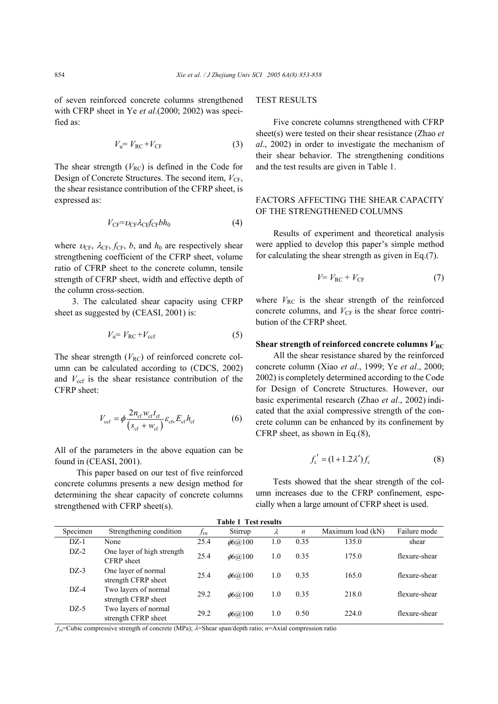of seven reinforced concrete columns strengthened with CFRP sheet in Ye *et al*.(2000; 2002) was specified as:

$$
V_{\rm u} = V_{\rm RC} + V_{\rm CF} \tag{3}
$$

The shear strength  $(V_{\text{RC}})$  is defined in the Code for Design of Concrete Structures. The second item,  $V_{CF}$ , the shear resistance contribution of the CFRP sheet, is expressed as:

$$
V_{\rm CF} = v_{\rm CF} \lambda_{\rm CF} f_{\rm CF} b h_0 \tag{4}
$$

where  $v_{CF}$ ,  $\lambda_{CF}$ ,  $f_{CF}$ ,  $b$ , and  $h_0$  are respectively shear strengthening coefficient of the CFRP sheet, volume ratio of CFRP sheet to the concrete column, tensile strength of CFRP sheet, width and effective depth of the column cross-section.

3. The calculated shear capacity using CFRP sheet as suggested by (CEASI, 2001) is:

$$
V_{\rm u} = V_{\rm RC} + V_{\rm ccf} \tag{5}
$$

The shear strength  $(V_{\text{RC}})$  of reinforced concrete column can be calculated according to (CDCS, 2002) and  $V_{\text{ccf}}$  is the shear resistance contribution of the CFRP sheet:

$$
V_{\rm ccf} = \phi \frac{2n_{\rm cf} w_{\rm cf} t_{\rm cf}}{(s_{\rm cf} + w_{\rm cf})} \varepsilon_{\rm cf} E_{\rm cf} h_{\rm cf}
$$
 (6)

All of the parameters in the above equation can be found in (CEASI, 2001).

 This paper based on our test of five reinforced concrete columns presents a new design method for determining the shear capacity of concrete columns strengthened with CFRP sheet(s).

## TEST RESULTS

Five concrete columns strengthened with CFRP sheet(s) were tested on their shear resistance (Zhao *et al*., 2002) in order to investigate the mechanism of their shear behavior. The strengthening conditions and the test results are given in Table 1.

# FACTORS AFFECTING THE SHEAR CAPACITY OF THE STRENGTHENED COLUMNS

Results of experiment and theoretical analysis were applied to develop this paper's simple method for calculating the shear strength as given in Eq.(7).

$$
V = V_{\rm RC} + V_{\rm CF} \tag{7}
$$

where  $V_{RC}$  is the shear strength of the reinforced concrete columns, and  $V_{CF}$  is the shear force contribution of the CFRP sheet.

#### **Shear strength of reinforced concrete columns**  $V_{\text{RC}}$

All the shear resistance shared by the reinforced concrete column (Xiao *et al*., 1999; Ye *et al*., 2000; 2002) is completely determined according to the Code for Design of Concrete Structures. However, our basic experimental research (Zhao *et al*., 2002) indicated that the axial compressive strength of the concrete column can be enhanced by its confinement by CFRP sheet, as shown in Eq.(8),

$$
f'_{c} = (1 + 1.2\lambda')f_{c}
$$
 (8)

Tests showed that the shear strength of the column increases due to the CFRP confinement, especially when a large amount of CFRP sheet is used.

| <b>Table 1 Test results</b> |                                             |              |                |     |                  |                   |               |  |  |
|-----------------------------|---------------------------------------------|--------------|----------------|-----|------------------|-------------------|---------------|--|--|
| Specimen                    | Strengthening condition                     | $f_{\rm cu}$ | Stirrup        | λ   | $\boldsymbol{n}$ | Maximum load (kN) | Failure mode  |  |  |
| $DZ-1$                      | None                                        | 25.4         | $\phi$ 6(a)100 | 1.0 | 0.35             | 135.0             | shear         |  |  |
| $DZ-2$                      | One layer of high strength<br>CFRP sheet    | 25.4         | $\phi$ 6(a)100 | 1.0 | 0.35             | 175.0             | flexure-shear |  |  |
| $DZ-3$                      | One layer of normal<br>strength CFRP sheet  | 25.4         | $\phi$ 6(a)100 | 1.0 | 0.35             | 165.0             | flexure-shear |  |  |
| $DZ-4$                      | Two layers of normal<br>strength CFRP sheet | 29.2         | $\phi$ 6(a)100 | 1.0 | 0.35             | 218.0             | flexure-shear |  |  |
| $DZ-5$                      | Two layers of normal<br>strength CFRP sheet | 29.2         | $\phi$ 6(a)100 | 1.0 | 0.50             | 224.0             | flexure-shear |  |  |

*f*cu=Cubic compressive strength of concrete (MPa); λ=Shear span/depth ratio; *n*=Axial compression ratio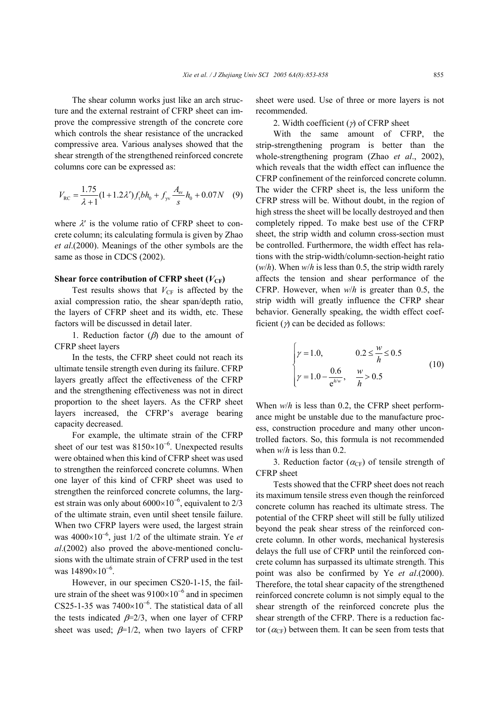The shear column works just like an arch structure and the external restraint of CFRP sheet can improve the compressive strength of the concrete core which controls the shear resistance of the uncracked compressive area. Various analyses showed that the shear strength of the strengthened reinforced concrete columns core can be expressed as:

$$
V_{\rm RC} = \frac{1.75}{\lambda + 1} (1 + 1.2 \lambda') f_{\rm t} b h_0 + f_{\rm yr} \frac{A_{\rm sv}}{s} h_0 + 0.07 N \quad (9)
$$

where  $\lambda'$  is the volume ratio of CFRP sheet to concrete column; its calculating formula is given by Zhao *et al*.(2000). Meanings of the other symbols are the same as those in CDCS (2002).

### **Shear force contribution of CFRP sheet (** $V_{CF}$ **)**

Test results shows that  $V_{CF}$  is affected by the axial compression ratio, the shear span/depth ratio, the layers of CFRP sheet and its width, etc. These factors will be discussed in detail later.

1. Reduction factor  $(\beta)$  due to the amount of CFRP sheet layers

In the tests, the CFRP sheet could not reach its ultimate tensile strength even during its failure. CFRP layers greatly affect the effectiveness of the CFRP and the strengthening effectiveness was not in direct proportion to the sheet layers. As the CFRP sheet layers increased, the CFRP's average bearing capacity decreased.

For example, the ultimate strain of the CFRP sheet of our test was  $8150\times10^{-6}$ . Unexpected results were obtained when this kind of CFRP sheet was used to strengthen the reinforced concrete columns. When one layer of this kind of CFRP sheet was used to strengthen the reinforced concrete columns, the largest strain was only about  $6000\times10^{-6}$ , equivalent to 2/3 of the ultimate strain, even until sheet tensile failure. When two CFRP layers were used, the largest strain was 4000×10<sup>−</sup><sup>6</sup> , just 1/2 of the ultimate strain. Ye *et al*.(2002) also proved the above-mentioned conclusions with the ultimate strain of CFRP used in the test was 14890×10<sup>-6</sup>.

However, in our specimen CS20-1-15, the failure strain of the sheet was  $9100\times10^{-6}$  and in specimen CS25-1-35 was  $7400\times10^{-6}$ . The statistical data of all the tests indicated  $\beta=2/3$ , when one layer of CFRP sheet was used;  $\beta=1/2$ , when two layers of CFRP

sheet were used. Use of three or more layers is not recommended.

2. Width coefficient  $(\gamma)$  of CFRP sheet

With the same amount of CFRP, the strip-strengthening program is better than the whole-strengthening program (Zhao *et al*., 2002), which reveals that the width effect can influence the CFRP confinement of the reinforced concrete column. The wider the CFRP sheet is, the less uniform the CFRP stress will be. Without doubt, in the region of high stress the sheet will be locally destroyed and then completely ripped. To make best use of the CFRP sheet, the strip width and column cross-section must be controlled. Furthermore, the width effect has relations with the strip-width/column-section-height ratio (*w*/*h*). When *w*/*h* is less than 0.5, the strip width rarely affects the tension and shear performance of the CFRP. However, when *w*/*h* is greater than 0.5, the strip width will greatly influence the CFRP shear behavior. Generally speaking, the width effect coefficient  $(y)$  can be decided as follows:

$$
\begin{cases} \gamma = 1.0, & 0.2 \le \frac{w}{h} \le 0.5 \\ \gamma = 1.0 - \frac{0.6}{e^{h/w}}, & \frac{w}{h} > 0.5 \end{cases}
$$
(10)

When *w*/*h* is less than 0.2, the CFRP sheet performance might be unstable due to the manufacture process, construction procedure and many other uncontrolled factors. So, this formula is not recommended when *w*/*h* is less than 0.2.

3. Reduction factor ( $\alpha_{\text{CF}}$ ) of tensile strength of CFRP sheet

Tests showed that the CFRP sheet does not reach its maximum tensile stress even though the reinforced concrete column has reached its ultimate stress. The potential of the CFRP sheet will still be fully utilized beyond the peak shear stress of the reinforced concrete column. In other words, mechanical hysteresis delays the full use of CFRP until the reinforced concrete column has surpassed its ultimate strength. This point was also be confirmed by Ye *et al*.(2000). Therefore, the total shear capacity of the strengthened reinforced concrete column is not simply equal to the shear strength of the reinforced concrete plus the shear strength of the CFRP. There is a reduction factor  $(\alpha_{CF})$  between them. It can be seen from tests that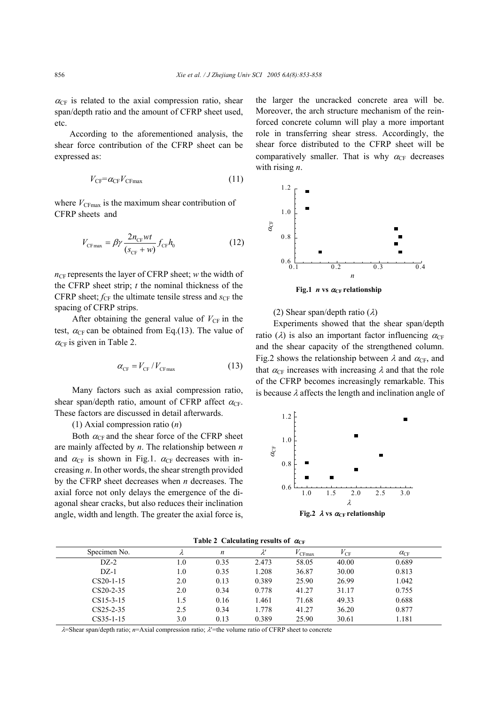$\alpha_{\text{CF}}$  is related to the axial compression ratio, shear span/depth ratio and the amount of CFRP sheet used, etc.

 According to the aforementioned analysis, the shear force contribution of the CFRP sheet can be expressed as:

$$
V_{\rm CF} = \alpha_{\rm CF} V_{\rm CFmax} \tag{11}
$$

where  $V_{CFmax}$  is the maximum shear contribution of CFRP sheets and

$$
V_{\text{CFmax}} = \beta \gamma \frac{2n_{\text{CF}}wt}{(s_{\text{CF}} + w)} f_{\text{CF}} h_0 \tag{12}
$$

 $n_{CF}$  represents the layer of CFRP sheet; *w* the width of the CFRP sheet strip; *t* the nominal thickness of the CFRP sheet;  $f_{CF}$  the ultimate tensile stress and  $s_{CF}$  the spacing of CFRP strips.

After obtaining the general value of  $V_{CF}$  in the test,  $\alpha_{CF}$  can be obtained from Eq.(13). The value of  $\alpha_{CF}$  is given in Table 2.

$$
\alpha_{\rm CF} = V_{\rm CF} / V_{\rm CFmax} \tag{13}
$$

Many factors such as axial compression ratio, shear span/depth ratio, amount of CFRP affect  $\alpha_{CF}$ . These factors are discussed in detail afterwards.

(1) Axial compression ratio (*n*)

Both  $\alpha_{CF}$  and the shear force of the CFRP sheet are mainly affected by *n*. The relationship between *n* and  $\alpha_{CF}$  is shown in Fig.1.  $\alpha_{CF}$  decreases with increasing *n*. In other words, the shear strength provided by the CFRP sheet decreases when *n* decreases. The axial force not only delays the emergence of the diagonal shear cracks, but also reduces their inclination angle, width and length. The greater the axial force is,

the larger the uncracked concrete area will be. Moreover, the arch structure mechanism of the reinforced concrete column will play a more important role in transferring shear stress. Accordingly, the shear force distributed to the CFRP sheet will be comparatively smaller. That is why  $\alpha_{\text{CF}}$  decreases with rising *n*.



**Fig.1** *n* vs  $\alpha_{CF}$  **relationship** 

(2) Shear span/depth ratio  $(\lambda)$ 

Experiments showed that the shear span/depth ratio ( $\lambda$ ) is also an important factor influencing  $\alpha_{CF}$ and the shear capacity of the strengthened column. Fig.2 shows the relationship between  $\lambda$  and  $\alpha_{\text{CF}}$ , and that  $\alpha_{CF}$  increases with increasing  $\lambda$  and that the role of the CFRP becomes increasingly remarkable. This is because  $\lambda$  affects the length and inclination angle of



| Specimen No.    |     | n    | $\lambda'$ | CFmax | $V_{\rm CF}$ | $\alpha_{\rm CF}$ |
|-----------------|-----|------|------------|-------|--------------|-------------------|
| $DZ-2$          | 1.0 | 0.35 | 2.473      | 58.05 | 40.00        | 0.689             |
| $DZ-1$          | 1.0 | 0.35 | 1.208      | 36.87 | 30.00        | 0.813             |
| $CS20-1-15$     | 2.0 | 0.13 | 0.389      | 25.90 | 26.99        | 1.042             |
| $CS20-2-35$     | 2.0 | 0.34 | 0.778      | 41.27 | 31.17        | 0.755             |
| $CS15-3-15$     | 1.5 | 0.16 | 1.461      | 71.68 | 49.33        | 0.688             |
| $CS25-2-35$     | 2.5 | 0.34 | 1.778      | 41.27 | 36.20        | 0.877             |
| $CS35 - 1 - 15$ | 3.0 | 0.13 | 0.389      | 25.90 | 30.61        | 1.181             |

λ=Shear span/depth ratio; *n*=Axial compression ratio; λ′=the volume ratio of CFRP sheet to concrete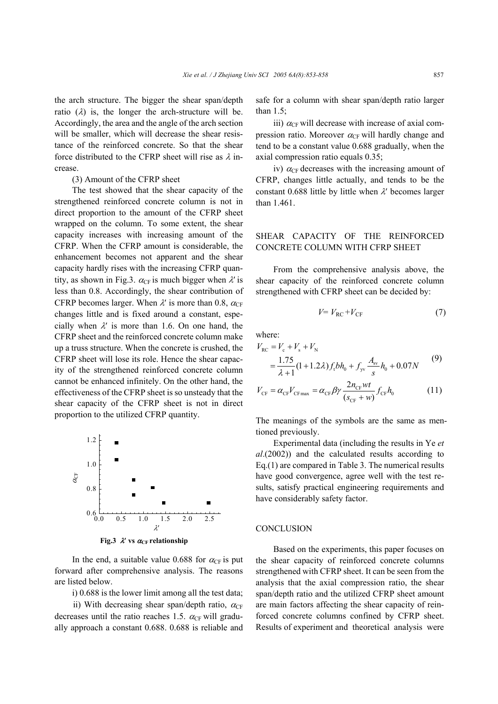the arch structure. The bigger the shear span/depth ratio  $(\lambda)$  is, the longer the arch-structure will be. Accordingly, the area and the angle of the arch section will be smaller, which will decrease the shear resistance of the reinforced concrete. So that the shear force distributed to the CFRP sheet will rise as  $\lambda$  increase.

#### (3) Amount of the CFRP sheet

The test showed that the shear capacity of the strengthened reinforced concrete column is not in direct proportion to the amount of the CFRP sheet wrapped on the column. To some extent, the shear capacity increases with increasing amount of the CFRP. When the CFRP amount is considerable, the enhancement becomes not apparent and the shear capacity hardly rises with the increasing CFRP quantity, as shown in Fig.3.  $\alpha_{CF}$  is much bigger when  $\lambda'$  is less than 0.8. Accordingly, the shear contribution of CFRP becomes larger. When  $\lambda'$  is more than 0.8,  $\alpha_{CF}$ changes little and is fixed around a constant, especially when  $\lambda'$  is more than 1.6. On one hand, the CFRP sheet and the reinforced concrete column make up a truss structure. When the concrete is crushed, the CFRP sheet will lose its role. Hence the shear capacity of the strengthened reinforced concrete column cannot be enhanced infinitely. On the other hand, the effectiveness of the CFRP sheet is so unsteady that the shear capacity of the CFRP sheet is not in direct proportion to the utilized CFRP quantity.



**Fig.3**  $\lambda'$  vs  $\alpha_{CF}$  relationship

In the end, a suitable value 0.688 for  $\alpha_{\text{CF}}$  is put forward after comprehensive analysis. The reasons are listed below.

i) 0.688 is the lower limit among all the test data;

ii) With decreasing shear span/depth ratio,  $\alpha_{CF}$ decreases until the ratio reaches 1.5.  $\alpha_{CF}$  will gradually approach a constant 0.688. 0.688 is reliable and safe for a column with shear span/depth ratio larger than 1.5;

iii)  $\alpha_{CF}$  will decrease with increase of axial compression ratio. Moreover  $\alpha_{CF}$  will hardly change and tend to be a constant value 0.688 gradually, when the axial compression ratio equals 0.35;

iv)  $\alpha_{CF}$  decreases with the increasing amount of CFRP, changes little actually, and tends to be the constant 0.688 little by little when  $\lambda$ ' becomes larger than 1.461

# SHEAR CAPACITY OF THE REINFORCED CONCRETE COLUMN WITH CFRP SHEET

From the comprehensive analysis above, the shear capacity of the reinforced concrete column strengthened with CFRP sheet can be decided by:

$$
V = V_{\rm RC} + V_{\rm CF} \tag{7}
$$

where:

$$
V_{\text{RC}} = V_{\text{c}} + V_{\text{s}} + V_{\text{N}}
$$
  
= 
$$
\frac{1.75}{\lambda + 1} (1 + 1.2\lambda) f_{\text{i}} bh_{0} + f_{\text{y}} \frac{A_{\text{sv}}}{s} h_{0} + 0.07N
$$
 (9)

$$
V_{\rm CF} = \alpha_{\rm CF} V_{\rm CF \, max} = \alpha_{\rm CF} \beta \gamma \frac{2n_{\rm CF}wt}{(s_{\rm CF} + w)} f_{\rm CF} h_0 \tag{11}
$$

The meanings of the symbols are the same as mentioned previously.

Experimental data (including the results in Ye *et al*.(2002)) and the calculated results according to Eq.(1) are compared in Table 3. The numerical results have good convergence, agree well with the test results, satisfy practical engineering requirements and have considerably safety factor.

## **CONCLUSION**

Based on the experiments, this paper focuses on the shear capacity of reinforced concrete columns strengthened with CFRP sheet. It can be seen from the analysis that the axial compression ratio, the shear span/depth ratio and the utilized CFRP sheet amount are main factors affecting the shear capacity of reinforced concrete columns confined by CFRP sheet. Results of experiment and theoretical analysis were